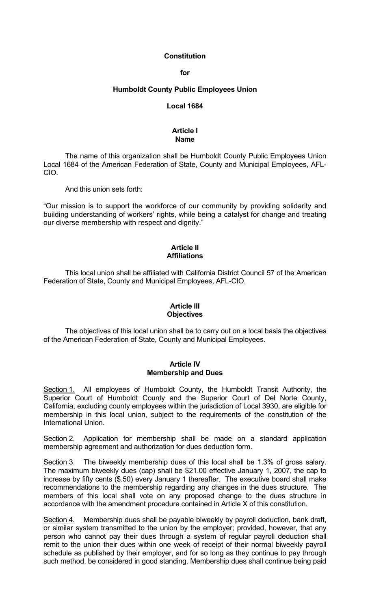## **Constitution**

## **for**

## **Humboldt County Public Employees Union**

#### **Local 1684**

## **Article I Name**

 The name of this organization shall be Humboldt County Public Employees Union Local 1684 of the American Federation of State, County and Municipal Employees, AFL-CIO.

And this union sets forth:

"Our mission is to support the workforce of our community by providing solidarity and building understanding of workers' rights, while being a catalyst for change and treating our diverse membership with respect and dignity."

## **Article II Affiliations**

 This local union shall be affiliated with California District Council 57 of the American Federation of State, County and Municipal Employees, AFL-CIO.

## **Article III Objectives**

 The objectives of this local union shall be to carry out on a local basis the objectives of the American Federation of State, County and Municipal Employees.

### **Article IV Membership and Dues**

Section 1. All employees of Humboldt County, the Humboldt Transit Authority, the Superior Court of Humboldt County and the Superior Court of Del Norte County, California, excluding county employees within the jurisdiction of Local 3930, are eligible for membership in this local union, subject to the requirements of the constitution of the International Union.

Section 2. Application for membership shall be made on a standard application membership agreement and authorization for dues deduction form.

Section 3. The biweekly membership dues of this local shall be 1.3% of gross salary. The maximum biweekly dues (cap) shall be \$21.00 effective January 1, 2007, the cap to increase by fifty cents (\$.50) every January 1 thereafter. The executive board shall make recommendations to the membership regarding any changes in the dues structure. The members of this local shall vote on any proposed change to the dues structure in accordance with the amendment procedure contained in Article X of this constitution.

Section 4. Membership dues shall be payable biweekly by payroll deduction, bank draft, or similar system transmitted to the union by the employer; provided, however, that any person who cannot pay their dues through a system of regular payroll deduction shall remit to the union their dues within one week of receipt of their normal biweekly payroll schedule as published by their employer, and for so long as they continue to pay through such method, be considered in good standing. Membership dues shall continue being paid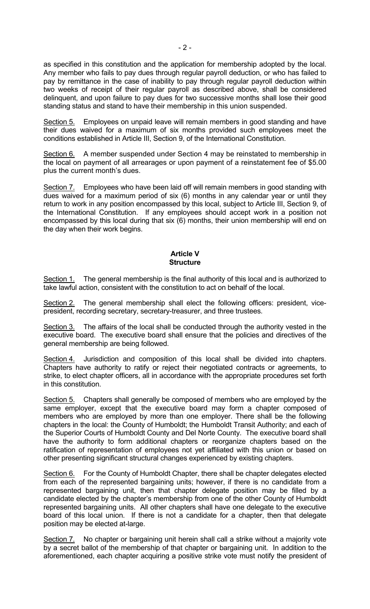as specified in this constitution and the application for membership adopted by the local. Any member who fails to pay dues through regular payroll deduction, or who has failed to pay by remittance in the case of inability to pay through regular payroll deduction within two weeks of receipt of their regular payroll as described above, shall be considered delinquent, and upon failure to pay dues for two successive months shall lose their good standing status and stand to have their membership in this union suspended.

Section 5. Employees on unpaid leave will remain members in good standing and have their dues waived for a maximum of six months provided such employees meet the conditions established in Article III, Section 9, of the International Constitution.

Section 6. A member suspended under Section 4 may be reinstated to membership in the local on payment of all arrearages or upon payment of a reinstatement fee of \$5.00 plus the current month's dues.

Section 7. Employees who have been laid off will remain members in good standing with dues waived for a maximum period of six (6) months in any calendar year or until they return to work in any position encompassed by this local, subject to Article III, Section 9, of the International Constitution. If any employees should accept work in a position not encompassed by this local during that six (6) months, their union membership will end on the day when their work begins.

# **Article V Structure**

Section 1. The general membership is the final authority of this local and is authorized to take lawful action, consistent with the constitution to act on behalf of the local.

Section 2. The general membership shall elect the following officers: president, vicepresident, recording secretary, secretary-treasurer, and three trustees.

Section 3. The affairs of the local shall be conducted through the authority vested in the executive board. The executive board shall ensure that the policies and directives of the general membership are being followed.

Section 4. Jurisdiction and composition of this local shall be divided into chapters. Chapters have authority to ratify or reject their negotiated contracts or agreements, to strike, to elect chapter officers, all in accordance with the appropriate procedures set forth in this constitution.

Section 5. Chapters shall generally be composed of members who are employed by the same employer, except that the executive board may form a chapter composed of members who are employed by more than one employer. There shall be the following chapters in the local: the County of Humboldt; the Humboldt Transit Authority; and each of the Superior Courts of Humboldt County and Del Norte County. The executive board shall have the authority to form additional chapters or reorganize chapters based on the ratification of representation of employees not yet affiliated with this union or based on other presenting significant structural changes experienced by existing chapters.

Section 6. For the County of Humboldt Chapter, there shall be chapter delegates elected from each of the represented bargaining units; however, if there is no candidate from a represented bargaining unit, then that chapter delegate position may be filled by a candidate elected by the chapter's membership from one of the other County of Humboldt represented bargaining units. All other chapters shall have one delegate to the executive board of this local union. If there is not a candidate for a chapter, then that delegate position may be elected at-large.

Section 7. No chapter or bargaining unit herein shall call a strike without a majority vote by a secret ballot of the membership of that chapter or bargaining unit. In addition to the aforementioned, each chapter acquiring a positive strike vote must notify the president of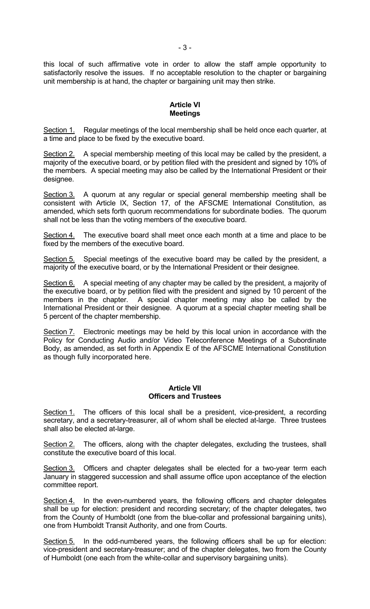this local of such affirmative vote in order to allow the staff ample opportunity to satisfactorily resolve the issues. If no acceptable resolution to the chapter or bargaining unit membership is at hand, the chapter or bargaining unit may then strike.

# **Article VI Meetings**

Section 1. Regular meetings of the local membership shall be held once each quarter, at a time and place to be fixed by the executive board.

Section 2. A special membership meeting of this local may be called by the president, a majority of the executive board, or by petition filed with the president and signed by 10% of the members. A special meeting may also be called by the International President or their designee.

Section 3. A quorum at any regular or special general membership meeting shall be consistent with Article IX, Section 17, of the AFSCME International Constitution, as amended, which sets forth quorum recommendations for subordinate bodies. The quorum shall not be less than the voting members of the executive board.

Section 4. The executive board shall meet once each month at a time and place to be fixed by the members of the executive board.

Section 5. Special meetings of the executive board may be called by the president, a majority of the executive board, or by the International President or their designee.

Section 6. A special meeting of any chapter may be called by the president, a majority of the executive board, or by petition filed with the president and signed by 10 percent of the members in the chapter. A special chapter meeting may also be called by the International President or their designee. A quorum at a special chapter meeting shall be 5 percent of the chapter membership.

Section 7. Electronic meetings may be held by this local union in accordance with the Policy for Conducting Audio and/or Video Teleconference Meetings of a Subordinate Body, as amended, as set forth in Appendix E of the AFSCME International Constitution as though fully incorporated here.

## **Article VII Officers and Trustees**

Section 1. The officers of this local shall be a president, vice-president, a recording secretary, and a secretary-treasurer, all of whom shall be elected at-large. Three trustees shall also be elected at-large.

Section 2. The officers, along with the chapter delegates, excluding the trustees, shall constitute the executive board of this local.

Section 3. Officers and chapter delegates shall be elected for a two-year term each January in staggered succession and shall assume office upon acceptance of the election committee report.

Section 4. In the even-numbered years, the following officers and chapter delegates shall be up for election: president and recording secretary; of the chapter delegates, two from the County of Humboldt (one from the blue-collar and professional bargaining units), one from Humboldt Transit Authority, and one from Courts.

Section 5. In the odd-numbered years, the following officers shall be up for election: vice-president and secretary-treasurer; and of the chapter delegates, two from the County of Humboldt (one each from the white-collar and supervisory bargaining units).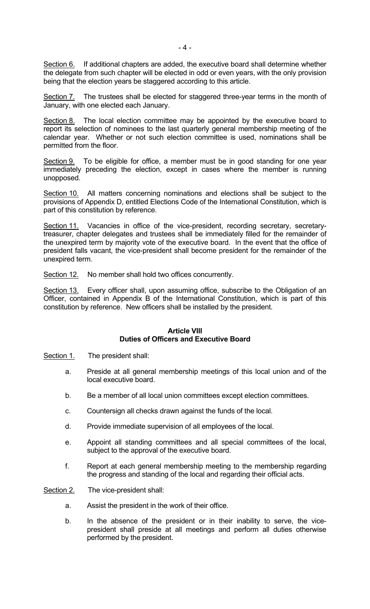Section 6. If additional chapters are added, the executive board shall determine whether the delegate from such chapter will be elected in odd or even years, with the only provision being that the election years be staggered according to this article.

Section 7. The trustees shall be elected for staggered three-year terms in the month of January, with one elected each January.

Section 8. The local election committee may be appointed by the executive board to report its selection of nominees to the last quarterly general membership meeting of the calendar year. Whether or not such election committee is used, nominations shall be permitted from the floor.

Section 9. To be eligible for office, a member must be in good standing for one year immediately preceding the election, except in cases where the member is running unopposed.

Section 10. All matters concerning nominations and elections shall be subject to the provisions of Appendix D, entitled Elections Code of the International Constitution, which is part of this constitution by reference.

Section 11. Vacancies in office of the vice-president, recording secretary, secretarytreasurer, chapter delegates and trustees shall be immediately filled for the remainder of the unexpired term by majority vote of the executive board. In the event that the office of president falls vacant, the vice-president shall become president for the remainder of the unexpired term.

Section 12. No member shall hold two offices concurrently.

Section 13. Every officer shall, upon assuming office, subscribe to the Obligation of an Officer, contained in Appendix B of the International Constitution, which is part of this constitution by reference. New officers shall be installed by the president.

# **Article VIII Duties of Officers and Executive Board**

Section 1. The president shall:

- a. Preside at all general membership meetings of this local union and of the local executive board.
- b. Be a member of all local union committees except election committees.
- c. Countersign all checks drawn against the funds of the local.
- d. Provide immediate supervision of all employees of the local.
- e. Appoint all standing committees and all special committees of the local, subject to the approval of the executive board.
- f. Report at each general membership meeting to the membership regarding the progress and standing of the local and regarding their official acts.

Section 2. The vice-president shall:

- a. Assist the president in the work of their office.
- b. In the absence of the president or in their inability to serve, the vicepresident shall preside at all meetings and perform all duties otherwise performed by the president.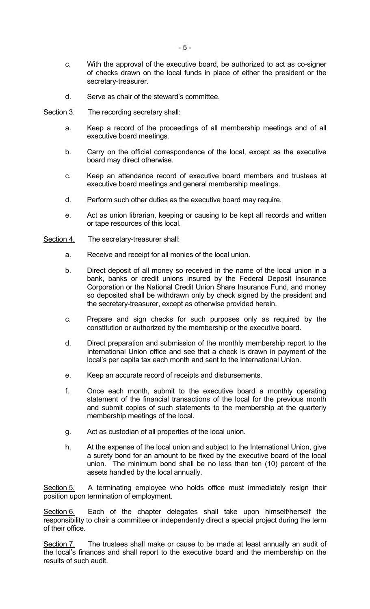- c. With the approval of the executive board, be authorized to act as co-signer of checks drawn on the local funds in place of either the president or the secretary-treasurer.
- d. Serve as chair of the steward's committee.
- Section 3. The recording secretary shall:
	- a. Keep a record of the proceedings of all membership meetings and of all executive board meetings.
	- b. Carry on the official correspondence of the local, except as the executive board may direct otherwise.
	- c. Keep an attendance record of executive board members and trustees at executive board meetings and general membership meetings.
	- d. Perform such other duties as the executive board may require.
	- e. Act as union librarian, keeping or causing to be kept all records and written or tape resources of this local.
- Section 4. The secretary-treasurer shall:
	- a. Receive and receipt for all monies of the local union.
	- b. Direct deposit of all money so received in the name of the local union in a bank, banks or credit unions insured by the Federal Deposit Insurance Corporation or the National Credit Union Share Insurance Fund, and money so deposited shall be withdrawn only by check signed by the president and the secretary-treasurer, except as otherwise provided herein.
	- c. Prepare and sign checks for such purposes only as required by the constitution or authorized by the membership or the executive board.
	- d. Direct preparation and submission of the monthly membership report to the International Union office and see that a check is drawn in payment of the local's per capita tax each month and sent to the International Union.
	- e. Keep an accurate record of receipts and disbursements.
	- f. Once each month, submit to the executive board a monthly operating statement of the financial transactions of the local for the previous month and submit copies of such statements to the membership at the quarterly membership meetings of the local.
	- g. Act as custodian of all properties of the local union.
	- h. At the expense of the local union and subject to the International Union, give a surety bond for an amount to be fixed by the executive board of the local union. The minimum bond shall be no less than ten (10) percent of the assets handled by the local annually.

Section 5. A terminating employee who holds office must immediately resign their position upon termination of employment.

Section 6. Each of the chapter delegates shall take upon himself/herself the responsibility to chair a committee or independently direct a special project during the term of their office.

Section 7. The trustees shall make or cause to be made at least annually an audit of the local's finances and shall report to the executive board and the membership on the results of such audit.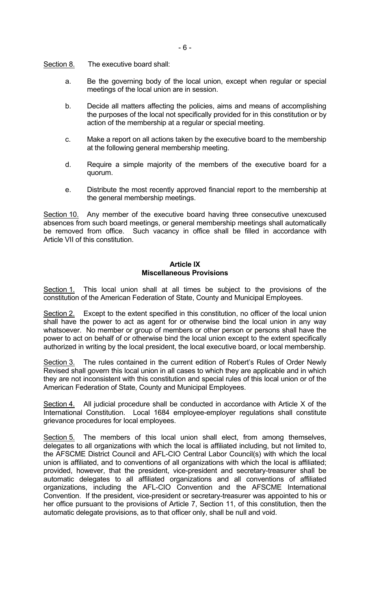Section 8. The executive board shall:

- a. Be the governing body of the local union, except when regular or special meetings of the local union are in session.
- b. Decide all matters affecting the policies, aims and means of accomplishing the purposes of the local not specifically provided for in this constitution or by action of the membership at a regular or special meeting.
- c. Make a report on all actions taken by the executive board to the membership at the following general membership meeting.
- d. Require a simple majority of the members of the executive board for a quorum.
- e. Distribute the most recently approved financial report to the membership at the general membership meetings.

Section 10. Any member of the executive board having three consecutive unexcused absences from such board meetings, or general membership meetings shall automatically be removed from office. Such vacancy in office shall be filled in accordance with Article VII of this constitution.

## **Article IX Miscellaneous Provisions**

Section 1. This local union shall at all times be subject to the provisions of the constitution of the American Federation of State, County and Municipal Employees.

Section 2. Except to the extent specified in this constitution, no officer of the local union shall have the power to act as agent for or otherwise bind the local union in any way whatsoever. No member or group of members or other person or persons shall have the power to act on behalf of or otherwise bind the local union except to the extent specifically authorized in writing by the local president, the local executive board, or local membership.

Section 3. The rules contained in the current edition of Robert's Rules of Order Newly Revised shall govern this local union in all cases to which they are applicable and in which they are not inconsistent with this constitution and special rules of this local union or of the American Federation of State, County and Municipal Employees.

Section 4. All judicial procedure shall be conducted in accordance with Article X of the International Constitution. Local 1684 employee-employer regulations shall constitute grievance procedures for local employees.

Section 5. The members of this local union shall elect, from among themselves, delegates to all organizations with which the local is affiliated including, but not limited to, the AFSCME District Council and AFL-CIO Central Labor Council(s) with which the local union is affiliated, and to conventions of all organizations with which the local is affiliated; provided, however, that the president, vice-president and secretary-treasurer shall be automatic delegates to all affiliated organizations and all conventions of affiliated organizations, including the AFL-CIO Convention and the AFSCME International Convention. If the president, vice-president or secretary-treasurer was appointed to his or her office pursuant to the provisions of Article 7, Section 11, of this constitution, then the automatic delegate provisions, as to that officer only, shall be null and void.